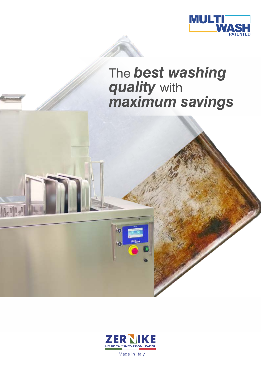



### The *best washing quality* with *maximum savings*



14114

Made in Italy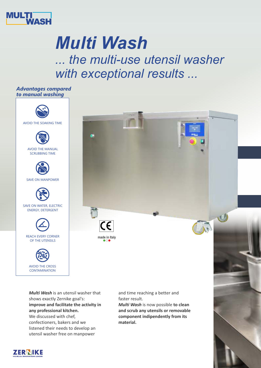

# *Multi Wash*

*... the multi-use utensil washer with exceptional results ...*

AVOID THE SOAKING TIME *Advantages compared to manual washing* AVOID THE MANUAL SCRUBBING TIME SAVE ON MANPOWER SAVE ON WATER, ELECTRIC ENERGY, DETERGENT REACH EVERY CORNER OF THE UTENSILS AVOID THE CROSS **CONTAMINATION** 

 $\overline{\mathsf{CE}}$ **made in Italy**

*Multi Wash* is an utensil washer that shows exactly Zernike goal's: **improve and facilitate the activity in any professional kitchen.** We discussed with chef, confectioners, bakers and we listened their needs to develop an utensil washer free on manpower

and time reaching a better and faster result.

*Multi Wash* is now possible **to clean and scrub any utensils or removable component indipendently from its material.**

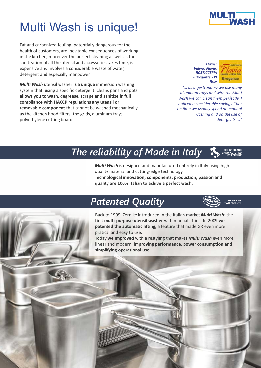### Multi Wash is unique!

Fat and carbonized fouling, potentially dangerous for the health of customers, are inevitable consequences of working in the kitchen, moreover the perfect cleaning as well as the sanitization of all the utensil and accessories takes time, is expensive and involves a considerable waste of water, detergent and especially manpower.

*Multi Wash* utensil washer **is a unique** immersion washing system that, using a specific detergent, cleans pans and pots, **allows you to wash, degrease, scrape and sanitize in full compliance with HACCP regulations any utensil or removable component** that cannot be washed mechanically as the kitchen hood filters, the grids, aluminum trays, polyethylene cutting boards.





*"... as a gastronomy we use many aluminum trays and with the Multi Wash we can clean them perfectly. I noticed a considerable saving either on time we usually spend on manual washing and on the use of detergents ..."*

#### *The reliability of Made in Italy* **MANUFACTURED**

*Multi Wash* is designed and manufactured entirely in Italy using high quality material and cutting-edge technology. **Technological innovation, components, production, passion and quality are 100% Italian to achive a perfect wash.**

### **Patented Quality**



**DESIGNED AND** 

**BY ZERNIKE**

Back to 1999, Zernike introduced in the italian market *Multi Wash*: the **first multi-purpose utensil washer** with manual lifting. In 2009 **we patented the automatic lifting,** a feature that made GR even more pratical and easy to use.

Today **we improved** with a restyling that makes *Multi Wash* even more linear and modern, **improving performance, power consumption and simplifying operational use.**



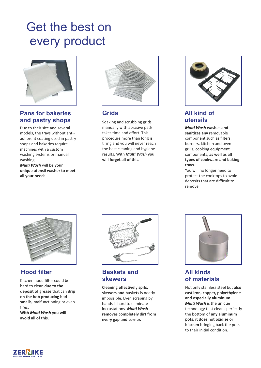### Get the best on every product



#### **Pans for bakeries and pastry shops**

Due to their size and several models, the trays without antiadherent coating used in pastry shops and bakeries require machines with a custom washing systems or manual washing. *Multi Wash* will be **your** 

**unique utensil washer to meet all your needs.**



#### **Grids**

Soaking and scrubbing grids manually with abrasive pads takes time and effort. This procedure more than long is tiring and you will never reach the best cleaning and hygiene results. With *Multi Wash* **you will forget all of this.**



#### **All kind of utensils**

*Multi Wash* **washes and sanitizes any** removable component such as filters, burners, kitchen and oven grills, cooking equipment components, **as well as all types of cookware and baking trays.**

You will no longer need to protect the cooktops to avoid deposits that are difficult to remove.



#### **Hood filter**

Kitchen hood filter could be hard to clean **due to the deposit of grease** that can **drip on the hob producing bad smells,** malfunctioning or even fires.

**With** *Multi Wash* **you will avoid all of this.**



#### **Baskets and skewers**

**Cleaning effectively spits, skewers and baskets** is nearly impossible. Even scraping by hands is hard to eliminate incrustations. *Multi Wash* **removes completely dirt from every gap and corner.**



#### **All kinds of materials**

Not only stainless steel but **also cast iron, copper, polyethylene and especially aluminum.** *Multi Wash* is the unique technology that cleans perfectly the bottom of **any aluminum pots, it does not oxidize or blacken** bringing back the pots to their initial condition.

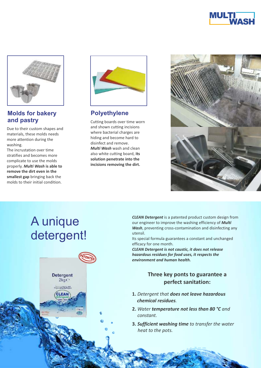



#### **Molds for bakery and pastry**

Due to their custom shapes and materials, these molds needs more attention during the washing.

The incrustation over time stratifies and becomes more complicate to use the molds properly. *Multi Wash* **is able to remove the dirt even in the smallest gap** bringing back the molds to their initial condition.



#### **Polyethylene**

Cutting boards over time worn and shown cutting incisions where bacterial charges are hiding and become hard to disinfect and remove. *Multi Wash* wash and clean also white cutting board, **its solution penetrate into the incisions removing the dirt.**



### A unique detergent!



*CLEAN Detergent* is a patented product custom design from our engineer to improve the washing efficiency of *Multi Wash*, preventing cross-contamination and disinfecting any utensil.

Its special formula guarantees a constant and unchanged efficacy for one month.

*CLEAN Detergent is not caustic, it does not release hazardous residues for food uses, it respects the environment and human health.*

#### **Three key ponts to guarantee a perfect sanitation:**

- **1.** *Detergent that does not leave hazardous chemical residues.*
- **2.** *Water temperature not less than 80 °C and constant.*
- **3.** *Sufficient washing time to transfer the water heat to the pots.*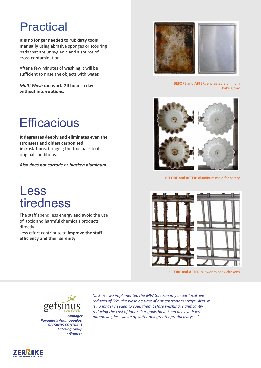### **Practical**

**It is no longer needed to rub dirty tools manually** using abrasive sponges or scouring pads that are unhygienic and a source of cross-contamination.

After a few minutes of washing it will be sufficient to rinse the objects with water.

*Multi Wash* **can work 24 hours a day without interruptions.**

### **Efficacious**

**It degreases deeply and eliminates even the strongest and oldest carbonized incrustations,** bringing the tool back to its original conditions.

*Also does not corrode or blacken aluminum.*

### Less tiredness

The staff spend less energy and avoid the use of toxic and harmful chemicals products directly.

Less effort contribute to **improve the staff efficiency and their serenity**.



**BEFORE and AFTER:** encrusted aluminum baking tray



**BEFORE and AFTER:** aluminum mold for pastry



**BEFORE and AFTER:** skewer to cook chickens



*Manager Panagiotis Adamopoulos, GEFSINUS CONTRACT Catering Group - Greece -*

*"... Since we implemented the MW Gastronomy in our local we reduced of 50% the washing time of our gastronomy trays. Also, it is no longer needed to soak them before washing, significantly reducing the cost of labor. Our goals have been achieved: less manpower, less waste of water and greater productivity! ..."*

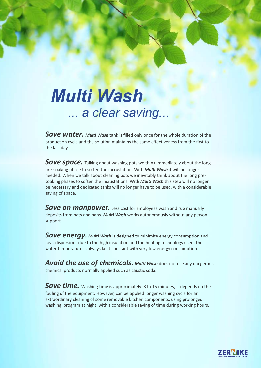# *Multi Wash ... a clear saving...*

*Save water. Multi Wash* tank is filled only once for the whole duration of the production cycle and the solution maintains the same effectiveness from the first to the last day.

*Save space.* Talking about washing pots we think immediately about the long pre-soaking phase to soften the incrustation. With *Multi Wash* it will no longer needed. When we talk about cleaning pots we inevitably think about the long presoaking phases to soften the incrustations. With *Multi Wash* this step will no longer be necessary and dedicated tanks will no longer have to be used, with a considerable saving of space.

**Save on manpower.** Less cost for employees wash and rub manually deposits from pots and pans. *Multi Wash* works autonomously without any person support.

*Save energy. Multi Wash* is designed to minimize energy consumption and heat dispersions due to the high insulation and the heating technology used, the water temperature is always kept constant with very low energy consumption.

*Avoid the use of chemicals. Multi Wash does not use any dangerous* chemical products normally applied such as caustic soda.

**Save time.** Washing time is approximately 8 to 15 minutes, it depends on the fouling of the equipment. However, can be applied longer washing cycle for an extraordinary cleaning of some removable kitchen components, using prolonged washing program at night, with a considerable saving of time during working hours.

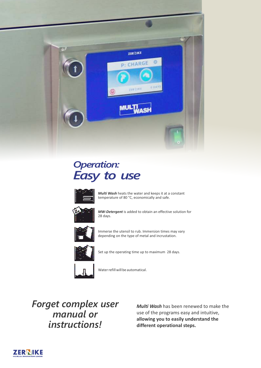

### *Operation: Easy to use*



*Multi Wash* heats the water and keeps it at a constant temperature of 80 °C, economically and safe.



*MW-Detergent* is added to obtain an effective solution for 28 days.



Immerse the utensil to rub. Immersion times may vary depending on the type of metal and incrustation.



Set up the operating time up to maximum 28 days.



Water refill will be automatical.

*Forget complex user manual or instructions!*

*Multi Wash* has been renewed to make the use of the programs easy and intuitive, **allowing you to easily understand the different operational steps.**

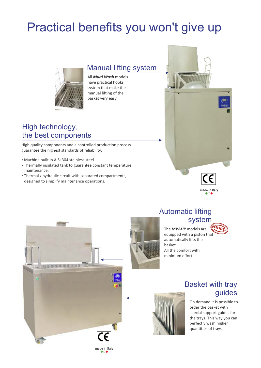## Practical benefits you won't give up



Manual lifting system

All *Multi Wash* models have practical hooks system that make the manual lifting of the basket very easy.

### High technology, the best components

High quality components and a controlled production process guarantee the highest standards of reliability:

- Machine built in AISI 304 stainless steel
- Thermally insulated tank to guarantee constant temperature maintenance.
- Thermal / hydraulic circuit with separated compartments, designed to simplify maintenance operations.





### Automatic lifting system

The *MW-UP* models are equipped with a piston that automatically lifts the basket. All the comfort with **PATENTED** 



### Basket with tray guides



On demand it is possible to order the basket with special support guides for the trays. This way you can perfectly wash higher quantities of trays.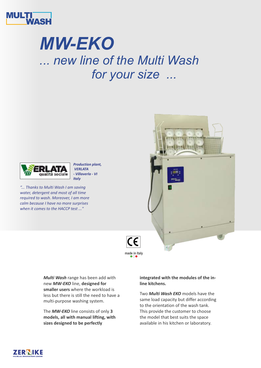

# *MW-EKO ... new line of the Multi Wash for your size ...*



*"... Thanks to Multi Wash I am saving water, detergent and most of all time required to wash. Moreover, I am more calm because I have no more surprises when it comes to the HACCP test ..."*





*Multi Wash* range has been add with new *MW-EKO* line, **designed for smaller users** where the workload is less but there is still the need to have a multi-purpose washing system.

*Production plant, VERLATA* 

The *MW-EKO* line consists of only **3 models, all with manual lifting, with sizes designed to be perfectly** 

**integrated with the modules of the inline kitchens.**

Two *Multi Wash EKO* models have the same load capacity but differ according to the orientation of the wash tank. This provide the customer to choose the model that best suits the space available in his kitchen or laboratory.

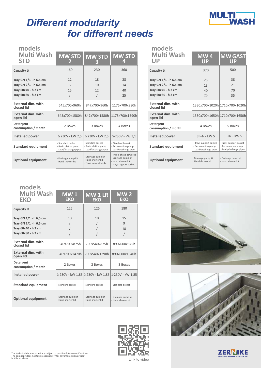

### *Different modularity for different needs*

| models<br><b>Multi Wash</b><br><b>STD</b> | <b>MW STD</b><br>2                                                  | <b>MW STD</b><br>B                                                  | <b>MW STD</b><br>4                                                                      | models<br><b>Multi Wash</b><br>UP       |
|-------------------------------------------|---------------------------------------------------------------------|---------------------------------------------------------------------|-----------------------------------------------------------------------------------------|-----------------------------------------|
| <b>Capacity Lt</b>                        | 160                                                                 | 230                                                                 | 360                                                                                     | <b>Capacity Lt</b>                      |
| Tray GN $1/1$ - h 6,5 cm                  | 12                                                                  | 18                                                                  | 28                                                                                      | Tray GN 1/1 - h 6,5 cm                  |
| Tray GN $2/1$ - h 6,5 cm                  | 6                                                                   | 10                                                                  | 14                                                                                      | Tray GN 2/1 - h 6,5 cm                  |
| Tray 60x40 - h 2 cm                       | 15                                                                  | 12                                                                  | 40                                                                                      | Tray 60x40 - h 2 cm                     |
| Tray 60x80 - h 2 cm                       |                                                                     |                                                                     | 25                                                                                      | Tray 60x80 - h 2 cm                     |
| External dim. with<br>closed lid          | 645x700x960h                                                        | 847x700x960h                                                        | 1175x700x980h                                                                           | <b>External dim. with</b><br>closed lid |
| External dim. with<br>open lid            | 645x700x1580h                                                       | 847x700x1580h                                                       | 1175x700x1590h                                                                          | <b>External dim. with</b><br>open lid   |
| Detergent<br>consumption / month          | 2 Boxes                                                             | 3 Boxes                                                             | 4 Boxes                                                                                 | Detergent<br>consumption / month        |
| Installed power                           | 1-230V - kW 2,5                                                     | 1-230V - kW 2,5                                                     | 1-230V - kW 3,1                                                                         | Installed power                         |
| <b>Standard equipment</b>                 | - Standard basket<br>- Recirculation pump<br>- Load/discharge pipes | - Standard basket<br>- Recirculation pump<br>- Load/discharge pipes | - Standard basket<br>- Recirculation pump<br>- Load/discharge pipes                     | <b>Standard equipment</b>               |
| <b>Optional equipment</b>                 | Drainage pump kit<br>- Hand shower kit                              | Drainage pump kit<br>- Hand shower kit<br>- Trays support basket    | - Three-phase powered<br>Drainage pump kit<br>Hand shower kit<br>- Trays support basket | <b>Optional equipment</b>               |

| models<br>Multi Wash<br>UP                                              | <b>MW4</b><br>UP                                                         | <b>MW GAST</b><br>UP                                                     |
|-------------------------------------------------------------------------|--------------------------------------------------------------------------|--------------------------------------------------------------------------|
| <b>Capacity Lt</b>                                                      | 370                                                                      | 500                                                                      |
| Tray GN 1/1 - h 6,5 cm<br>Tray GN 2/1 - h 6,5 cm<br>Tray 60x40 - h 2 cm | 25<br>13                                                                 | 38<br>21                                                                 |
| Tray 60x80 - h 2 cm                                                     | 40<br>25                                                                 | 70<br>35                                                                 |
| <b>External dim. with</b><br>closed lid                                 |                                                                          | 1330x700x1020h 1710x700x1020h                                            |
| <b>External dim. with</b><br>open lid                                   |                                                                          | 1330x700x1650h 1710x700x1650h                                            |
| Detergent<br>consumption / month                                        | 4 Boxes                                                                  | 5 Boxes                                                                  |
| <b>Installed power</b>                                                  | $3F + N - kW$ 5                                                          | $3F + N - kW$ 5                                                          |
| <b>Standard equipment</b>                                               | - Trays support basket<br>- Recirculation pump<br>- Load/discharge pipes | - Trays support basket<br>- Recirculation pump<br>- Load/discharge pipes |
| <b>Optional equipment</b>                                               | - Drainage pump kit<br>- Hand shower kit                                 | - Drainage pump kit<br>- Hand shower kit                                 |

| models<br>Multi Wash<br>EKO                                                                      | <b>MW1</b><br><b>EKO</b>                 | <b>MW1LR</b><br><b>EKO</b>                         | $\overline{\text{MW}}$ 2<br>EKO          |
|--------------------------------------------------------------------------------------------------|------------------------------------------|----------------------------------------------------|------------------------------------------|
| <b>Capacity Lt</b>                                                                               | 125                                      | 125                                                | 180                                      |
| Tray GN $1/1$ - h 6,5 cm<br>Tray GN 2/1 - h 6,5 cm<br>Tray 60x40 - h 2 cm<br>Tray 60x80 - h 2 cm | 10                                       | 10                                                 | 15<br>$\mathbf{q}$<br>18<br>$\prime$     |
| <b>External dim. with</b><br>closed lid                                                          | 540x700x875h                             | 700x540x875h                                       | 890x600x875h                             |
| <b>External dim. with</b><br>open lid                                                            | 540x700x1470h                            | 700x540x1290h                                      | 890x600x1340h                            |
| Detergent<br>consumption / month                                                                 | 2 Boxes                                  | 2 Boxes                                            | 3 Boxes                                  |
| Installed power                                                                                  |                                          | 1-230V - kW 1,85 1-230V - kW 1,85 1-230V - kW 1,85 |                                          |
| <b>Standard equipment</b>                                                                        | - Standard basket                        | - Standard basket                                  | - Standard basket                        |
| <b>Optional equipment</b>                                                                        | - Drainage pump kit<br>- Hand shower kit | - Drainage pump kit<br>- Hand shower kit           | - Drainage pump kit<br>- Hand shower kit |







Link to video